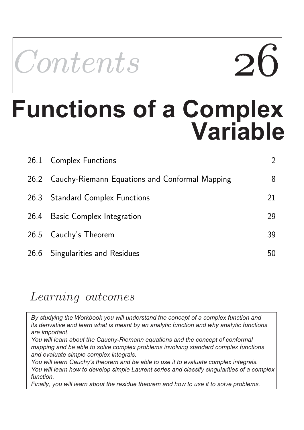

# **Variable Functions of a Complex**

| 26.1 Complex Functions                              | $\overline{2}$ |
|-----------------------------------------------------|----------------|
| 26.2 Cauchy-Riemann Equations and Conformal Mapping | 8              |
| 26.3 Standard Complex Functions                     | 21             |
| 26.4 Basic Complex Integration                      | 29             |
| 26.5 Cauchy's Theorem                               | 39             |
| 26.6 Singularities and Residues                     | 50             |

### Learning outcomes

*By studying the Workbook you will understand the concept of a complex function and its derivative and learn what is meant by an analytic function and why analytic functions are important.*

*You will learn about the Cauchy-Riemann equations and the concept of conformal mapping and be able to solve complex problems involving standard complex functions and evaluate simple complex integrals.*

*You will learn Cauchy's theorem and be able to use it to evaluate complex integrals. You will learn how to develop simple Laurent series and classify singularities of a complex function.* 

*Finally, you will learn about the residue theorem and how to use it to solve problems.*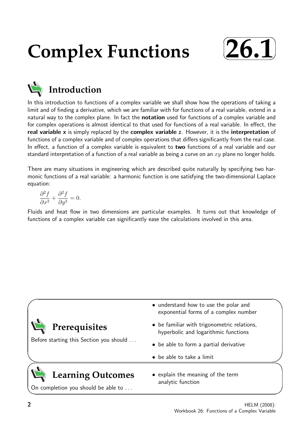## **Complex Functions**



**Introduction**

#### In this introduction to functions of a complex variable we shall show how the operations of taking a limit and of finding a derivative, which we are familiar with for functions of a real variable, extend in a natural way to the complex plane. In fact the **notation** used for functions of a complex variable and for complex operations is almost identical to that used for functions of a real variable. In effect, the real variable x is simply replaced by the complex variable  $z$ . However, it is the interpretation of functions of a complex variable and of complex operations that differs significantly from the real case. In effect, a function of a complex variable is equivalent to two functions of a real variable and our standard interpretation of a function of a real variable as being a curve on an  $xy$  plane no longer holds.

There are many situations in engineering which are described quite naturally by specifying two harmonic functions of a real variable: a harmonic function is one satisfying the two-dimensional Laplace equation:

$$
\frac{\partial^2 f}{\partial x^2} + \frac{\partial^2 f}{\partial y^2} = 0.
$$

Fluids and heat flow in two dimensions are particular examples. It turns out that knowledge of functions of a complex variable can significantly ease the calculations involved in this area.

| Prerequisites                                                   | • understand how to use the polar and<br>exponential forms of a complex number<br>• be familiar with trigonometric relations,<br>hyperbolic and logarithmic functions |
|-----------------------------------------------------------------|-----------------------------------------------------------------------------------------------------------------------------------------------------------------------|
| Before starting this Section you should                         | • be able to form a partial derivative<br>• be able to take a limit                                                                                                   |
| <b>Learning Outcomes</b><br>On completion you should be able to | • explain the meaning of the term<br>analytic function                                                                                                                |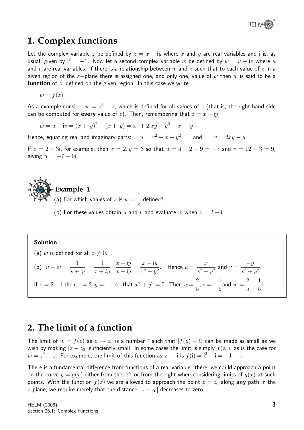

#### **1. Complex functions**

Let the complex variable z be defined by  $z = x + iy$  where x and y are real variables and i is, as usual, given by  $i^2 = -1$ . Now let a second complex variable w be defined by  $w = u + iv$  where u and v are real variables. If there is a relationship between w and z such that to each value of z in a given region of the z-plane there is assigned one, and only one, value of w then w is said to be a **function** of  $z$ , defined on the given region. In this case we write

$$
w = f(z).
$$

As a example consider  $w=z^2-z$ , which is defined for all values of  $z$  (that is, the right-hand side can be computed for **every** value of z). Then, remembering that  $z = x + iy$ ,

$$
w = u + iv = (x + iy)2 - (x + iy) = x2 + 2ixy - y2 - x - iy.
$$

Hence, equating real and imaginary parts:  $u = x^2 - x - y^2$  and  $v = 2xy - y$ .

If  $z = 2 + 3i$ , for example, then  $x = 2, y = 3$  so that  $u = 4 - 2 - 9 = -7$  and  $v = 12 - 3 = 9$ , giving  $w = -7 + 9i$ .

**Example 1** (a) For which values of  $z$  is  $w =$ 1 z defined?

(b) For these values obtain u and v and evaluate w when  $z = 2 - i$ .

#### Solution

(a) w is defined for all  $z \neq 0$ . (b)  $u + iv =$ 1  $x + iy$ = 1  $x + iy$  $\frac{x - iy}{y}$  $x - iy$ =  $x - iy$  $\frac{x}{x^2+y^2}$ . Hence  $u =$  $\overline{x}$  $\frac{x}{x^2+y^2}$  and  $v=$  $-y$  $\frac{y}{x^2+y^2}.$ If  $z=2-$  i then  $x=2, y=-1$  so that  $x^2+y^2=5$ . Then  $u=\frac{2}{5}$ 5  $, v = -\frac{1}{5}$ 5 and  $w =$ 2 5  $-\frac{1}{5}$ 5 i.

#### **2. The limit of a function**

The limit of  $w = f(z)$  as  $z \to z_0$  is a number  $\ell$  such that  $|f(z) - \ell|$  can be made as small as we wish by making  $|z - z_0|$  sufficiently small. In some cases the limit is simply  $f(z_0)$ , as is the case for  $w=z^2-z$ . For example, the limit of this function as  $z\rightarrow$  i is  $f(\mathfrak{i})=\mathfrak{i}^2-\mathfrak{i}=-1-\mathfrak{i}$ .

There is a fundamental difference from functions of a real variable: there, we could approach a point on the curve  $y = g(x)$  either from the left or from the right when considering limits of  $g(x)$  at such points. With the function  $f(z)$  we are allowed to approach the point  $z = z_0$  along any path in the z-plane; we require merely that the distance  $|z - z_0|$  decreases to zero.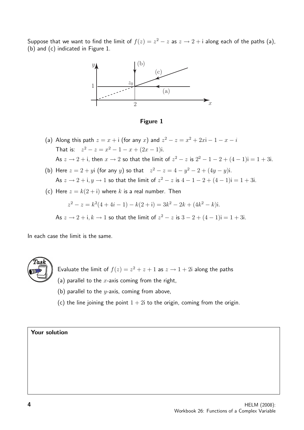Suppose that we want to find the limit of  $f(z) = z^2 - z$  as  $z \to 2 + i$  along each of the paths (a), (b) and (c) indicated in Figure 1.



Figure 1

- (a) Along this path  $z = x + i$  (for any x) and  $z^2 z = x^2 + 2xi 1 x i$ That is:  $z^2 - z = x^2 - 1 - x + (2x - 1)i$ . As  $z \to 2 + i$ , then  $x \to 2$  so that the limit of  $z^2 - z$  is  $2^2 - 1 - 2 + (4 - 1)i = 1 + 3i$ .
- (b) Here  $z = 2 + yi$  (for any y) so that  $z^2 z = 4 y^2 2 + (4y y)i$ . As  $z \to 2 + i$ ,  $y \to 1$  so that the limit of  $z^2 - z$  is  $4 - 1 - 2 + (4 - 1)i = 1 + 3i$ .
- (c) Here  $z = k(2 + i)$  where k is a real number. Then

$$
z^{2} - z = k^{2}(4 + 4i - 1) - k(2 + i) = 3k^{2} - 2k + (4k^{2} - k)i.
$$

As  $z \to 2 + i$ ,  $k \to 1$  so that the limit of  $z^2 - z$  is  $3 - 2 + (4 - 1)i = 1 + 3i$ .

In each case the limit is the same.



Evaluate the limit of  $f(z) = z^2 + z + 1$  as  $z \to 1 + 2i$  along the paths

- (a) parallel to the  $x$ -axis coming from the right,
- (b) parallel to the  $y$ -axis, coming from above,
- (c) the line joining the point  $1 + 2i$  to the origin, coming from the origin.

#### Your solution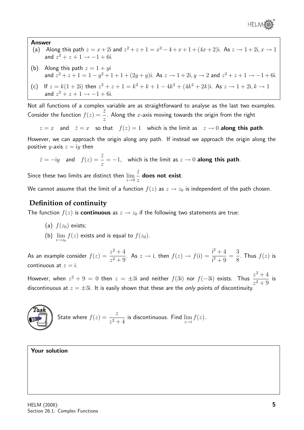

#### Answer

- (a) Along this path  $z = x + 2i$  and  $z^2 + z + 1 = x^2 4 + x + 1 + (4x + 2)i$ . As  $z \to 1 + 2i$ ,  $x \to 1$ and  $z^2 + z + 1 \rightarrow -1 + 6i$ .
- (b) Along this path  $z = 1 + yi$ and  $z^2 + z + 1 = 1 - y^2 + 1 + 1 + (2y + y)$ i. As  $z \to 1 + 2i$ ,  $y \to 2$  and  $z^2 + z + 1 \to -1 + 6i$ .
- (c) If  $z = k(1 + 2i)$  then  $z^2 + z + 1 = k^2 + k + 1 4k^2 + (4k^2 + 2k)i$ . As  $z \to 1 + 2i, k \to 1$ and  $z^2 + z + 1 \rightarrow -1 + 6i$ .

Not all functions of a complex variable are as straightforward to analyse as the last two examples. Consider the function  $f(z) = \frac{\bar{z}}{-}$ z . Along the  $x$ -axis moving towards the origin from the right

 $z = x$  and  $\bar{z} = x$  so that  $f(z) = 1$  which is the limit as  $z \to 0$  along this path.

However, we can approach the origin along any path. If instead we approach the origin along the positive y-axis  $z = iy$  then

$$
\bar{z} = -iy
$$
 and  $f(z) = \frac{\bar{z}}{z} = -1$ , which is the limit as  $z \to 0$  along this path.

Since these two limits are distinct then  $\lim\limits_{z\to 0}$  $\bar{z}$ z does not exist.

We cannot assume that the limit of a function  $f(z)$  as  $z \to z_0$  is independent of the path chosen.

#### **Definition of continuity**

The function  $f(z)$  is **continuous** as  $z \to z_0$  if the following two statements are true:

- (a)  $f(z_0)$  exists;
- (b)  $\lim_{z \to z_0} f(z)$  exists and is equal to  $f(z_0)$ .

As an example consider  $f(z) = \frac{z^2 + 4}{z^2 + 4}$  $z^2 + 9$ . As  $z \to i$ , then  $f(z) \to f(i) = \frac{i^2 + 4}{i^2 + 4i}$  $\frac{1}{i^2+9}$  = 3 8 . Thus  $f(z)$  is continuous at  $z = i$ .

However, when  $z^2 + 9 = 0$  then  $z = \pm 3$ i and neither  $f(3i)$  nor  $f(-3i)$  exists. Thus  $\frac{z^2 + 4}{3}$  $\frac{z+1}{z^2+9}$  is discontinuous at  $z = \pm 3i$ . It is easily shown that these are the *only* points of discontinuity.

**Task**  
State where 
$$
f(z) = \frac{z}{z^2 + 4}
$$
 is discontinuous. Find  $\lim_{z \to i} f(z)$ .

#### Your solution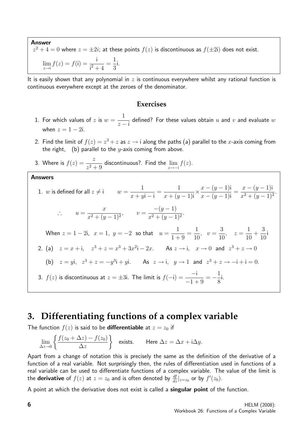Answer  $z^2+4=0$  where  $z=\pm 2i;$  at these points  $f(z)$  is discontinuous as  $f(\pm 2{\mathsf{i}})$  does not exist.  $\lim_{z \to i} f(z) = f(i) = \frac{i}{i^2 + i}$  $\frac{1}{i^2+4}$  = 1 3 i.

It is easily shown that any polynomial in z is continuous everywhere whilst any rational function is continuous everywhere except at the zeroes of the denominator.

#### **Exercises**

- 1. For which values of  $z$  is  $w =$ 1  $z - i$ defined? For these values obtain  $u$  and  $v$  and evaluate  $w$ when  $z = 1 - 2i$ .
- 2. Find the limit of  $f(z) = z^3 + z$  as  $z \to i$  along the paths (a) parallel to the x-axis coming from the right, (b) parallel to the  $y$ -axis coming from above.
- 3. Where is  $f(z) = \frac{z}{z}$  $\frac{z}{z^2+9}$  discontinuous?. Find the  $\lim_{z \to -i} f(z)$ .

#### Answers

1. *w* is defined for all 
$$
z \neq i
$$
  $w = \frac{1}{x + yi - i} = \frac{1}{x + (y - 1)i} \times \frac{x - (y - 1)i}{x - (y - 1)i} = \frac{x - (y - 1)i}{x^2 + (y - 1)^2}.$   
\n $\therefore$   $u = \frac{x}{x^2 + (y - 1)^2},$   $v = \frac{-(y - 1)}{x^2 + (y - 1)^2}.$   
\nWhen  $z = 1 - 2i$ ,  $x = 1$ ,  $y = -2$  so that  $u = \frac{1}{1 + 9} = \frac{1}{10}$ ,  $v = \frac{3}{10}$ ,  $z = \frac{1}{10} + \frac{3}{10}i$   
\n2. (a)  $z = x + i$ ,  $z^3 + z = x^3 + 3x^2i - 2x$ . As  $z \to i$ ,  $x \to 0$  and  $z^3 + z \to 0$   
\n(b)  $z = yi$ ,  $z^3 + z = -y^3i + yi$ . As  $z \to i$ ,  $y \to 1$  and  $z^3 + z \to -i + i = 0$ .  
\n3.  $f(z)$  is discontinuous at  $z = \pm 3i$ . The limit is  $f(-i) = \frac{-i}{-1 + 9} = -\frac{1}{8}i$ .

### **3. Differentiating functions of a complex variable**

The function  $f(z)$  is said to be **differentiable** at  $z = z_0$  if

$$
\lim_{\Delta z \to 0} \left\{ \frac{f(z_0 + \Delta z) - f(z_0)}{\Delta z} \right\} \quad \text{exists.} \qquad \text{Here } \Delta z = \Delta x + i \Delta y.
$$

Apart from a change of notation this is precisely the same as the definition of the derivative of a function of a real variable. Not surprisingly then, the rules of differentiation used in functions of a real variable can be used to differentiate functions of a complex variable. The value of the limit is the **derivative** of  $f(z)$  at  $z=z_0$  and is often denoted by  $\frac{df}{dz}|_{z=z_0}$  or by  $f'(z_0)$ .

A point at which the derivative does not exist is called a **singular point** of the function.